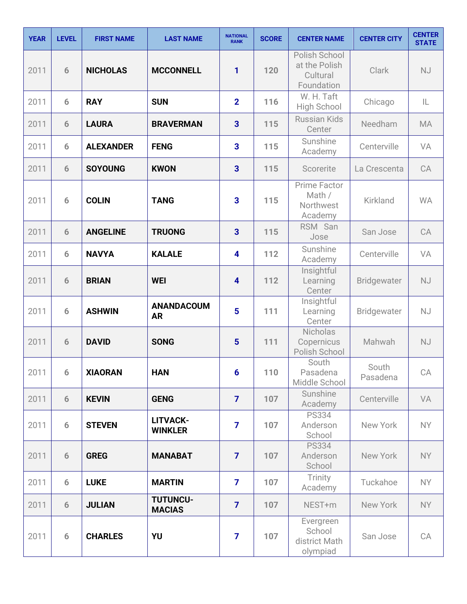| <b>YEAR</b> | <b>LEVEL</b> | <b>FIRST NAME</b> | <b>LAST NAME</b>                 | <b>NATIONAL</b><br><b>RANK</b> | <b>SCORE</b> | <b>CENTER NAME</b>                                       | <b>CENTER CITY</b> | <b>CENTER</b><br><b>STATE</b> |
|-------------|--------------|-------------------|----------------------------------|--------------------------------|--------------|----------------------------------------------------------|--------------------|-------------------------------|
| 2011        | 6            | <b>NICHOLAS</b>   | <b>MCCONNELL</b>                 | 1                              | 120          | Polish School<br>at the Polish<br>Cultural<br>Foundation | <b>Clark</b>       | <b>NJ</b>                     |
| 2011        | 6            | <b>RAY</b>        | <b>SUN</b>                       | $\overline{2}$                 | 116          | W. H. Taft<br><b>High School</b>                         | Chicago            | IL                            |
| 2011        | 6            | <b>LAURA</b>      | <b>BRAVERMAN</b>                 | $\overline{\mathbf{3}}$        | 115          | <b>Russian Kids</b><br>Center                            | Needham            | <b>MA</b>                     |
| 2011        | 6            | <b>ALEXANDER</b>  | <b>FENG</b>                      | 3                              | 115          | Sunshine<br>Academy                                      | Centerville        | VA                            |
| 2011        | 6            | <b>SOYOUNG</b>    | <b>KWON</b>                      | $\overline{\mathbf{3}}$        | 115          | Scorerite                                                | La Crescenta       | CA                            |
| 2011        | 6            | <b>COLIN</b>      | <b>TANG</b>                      | 3                              | 115          | Prime Factor<br>Math /<br>Northwest<br>Academy           | Kirkland           | <b>WA</b>                     |
| 2011        | 6            | <b>ANGELINE</b>   | <b>TRUONG</b>                    | $\overline{\mathbf{3}}$        | 115          | RSM San<br>Jose                                          | San Jose           | CA                            |
| 2011        | 6            | <b>NAVYA</b>      | <b>KALALE</b>                    | $\overline{\mathbf{4}}$        | 112          | Sunshine<br>Academy                                      | Centerville        | VA                            |
| 2011        | 6            | <b>BRIAN</b>      | <b>WEI</b>                       | $\overline{\mathbf{4}}$        | 112          | Insightful<br>Learning<br>Center                         | <b>Bridgewater</b> | <b>NJ</b>                     |
| 2011        | 6            | <b>ASHWIN</b>     | <b>ANANDACOUM</b><br><b>AR</b>   | 5                              | 111          | Insightful<br>Learning<br>Center                         | <b>Bridgewater</b> | <b>NJ</b>                     |
| 2011        | 6            | <b>DAVID</b>      | <b>SONG</b>                      | $5\phantom{1}$                 | 111          | <b>Nicholas</b><br>Copernicus<br>Polish School           | Mahwah             | <b>NJ</b>                     |
| 2011        | 6            | <b>XIAORAN</b>    | <b>HAN</b>                       | 6                              | 110          | South<br>Pasadena<br>Middle School                       | South<br>Pasadena  | CA                            |
| 2011        | 6            | <b>KEVIN</b>      | <b>GENG</b>                      | $\overline{7}$                 | 107          | Sunshine<br>Academy                                      | Centerville        | VA                            |
| 2011        | 6            | <b>STEVEN</b>     | LITVACK-<br><b>WINKLER</b>       | $\overline{7}$                 | 107          | <b>PS334</b><br>Anderson<br>School                       | New York           | NY                            |
| 2011        | 6            | <b>GREG</b>       | <b>MANABAT</b>                   | $\overline{7}$                 | 107          | <b>PS334</b><br>Anderson<br>School                       | New York           | <b>NY</b>                     |
| 2011        | 6            | <b>LUKE</b>       | <b>MARTIN</b>                    | $\overline{7}$                 | 107          | Trinity<br>Academy                                       | Tuckahoe           | NY.                           |
| 2011        | 6            | <b>JULIAN</b>     | <b>TUTUNCU-</b><br><b>MACIAS</b> | $\overline{7}$                 | 107          | NEST+m                                                   | New York           | NY                            |
| 2011        | 6            | <b>CHARLES</b>    | YU                               | $\overline{7}$                 | 107          | Evergreen<br>School<br>district Math<br>olympiad         | San Jose           | CA                            |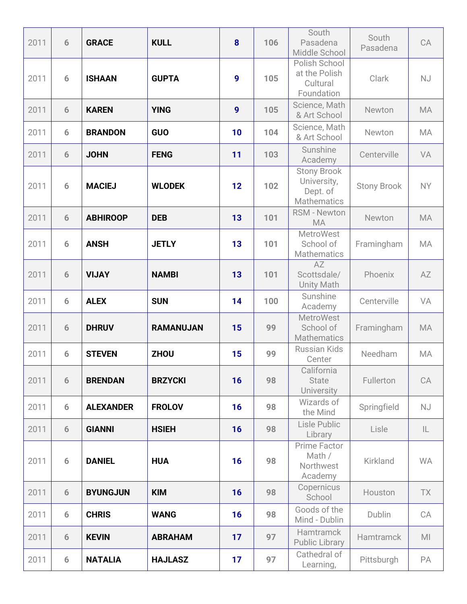| 2011 | 6 | <b>GRACE</b>     | <b>KULL</b>      | 8                | 106 | South<br>Pasadena<br>Middle School                                  | South<br>Pasadena  | CA             |
|------|---|------------------|------------------|------------------|-----|---------------------------------------------------------------------|--------------------|----------------|
| 2011 | 6 | <b>ISHAAN</b>    | <b>GUPTA</b>     | 9                | 105 | Polish School<br>at the Polish<br>Cultural<br>Foundation            | Clark              | <b>NJ</b>      |
| 2011 | 6 | <b>KAREN</b>     | <b>YING</b>      | $\boldsymbol{9}$ | 105 | Science, Math<br>& Art School                                       | Newton             | <b>MA</b>      |
| 2011 | 6 | <b>BRANDON</b>   | <b>GUO</b>       | 10               | 104 | Science, Math<br>& Art School                                       | Newton             | MA             |
| 2011 | 6 | <b>JOHN</b>      | <b>FENG</b>      | 11               | 103 | Sunshine<br>Academy                                                 | Centerville        | VA             |
| 2011 | 6 | <b>MACIEJ</b>    | <b>WLODEK</b>    | 12               | 102 | <b>Stony Brook</b><br>University,<br>Dept. of<br><b>Mathematics</b> | <b>Stony Brook</b> | <b>NY</b>      |
| 2011 | 6 | <b>ABHIROOP</b>  | <b>DEB</b>       | 13               | 101 | <b>RSM - Newton</b><br><b>MA</b>                                    | Newton             | <b>MA</b>      |
| 2011 | 6 | <b>ANSH</b>      | <b>JETLY</b>     | 13               | 101 | <b>MetroWest</b><br>School of<br><b>Mathematics</b>                 | Framingham         | <b>MA</b>      |
| 2011 | 6 | <b>VIJAY</b>     | <b>NAMBI</b>     | 13               | 101 | AZ<br>Scottsdale/<br><b>Unity Math</b>                              | Phoenix            | AZ             |
| 2011 | 6 | <b>ALEX</b>      | <b>SUN</b>       | 14               | 100 | Sunshine<br>Academy                                                 | Centerville        | VA             |
| 2011 | 6 | <b>DHRUV</b>     | <b>RAMANUJAN</b> | 15               | 99  | <b>MetroWest</b><br>School of<br><b>Mathematics</b>                 | Framingham         | <b>MA</b>      |
| 2011 | 6 | <b>STEVEN</b>    | <b>ZHOU</b>      | 15               | 99  | <b>Russian Kids</b><br>Center                                       | Needham            | MA             |
| 2011 | 6 | <b>BRENDAN</b>   | <b>BRZYCKI</b>   | 16               | 98  | California<br><b>State</b><br>University                            | Fullerton          | CA             |
| 2011 | 6 | <b>ALEXANDER</b> | <b>FROLOV</b>    | 16               | 98  | Wizards of<br>the Mind                                              | Springfield        | <b>NJ</b>      |
| 2011 | 6 | <b>GIANNI</b>    | <b>HSIEH</b>     | 16               | 98  | Lisle Public<br>Library                                             | Lisle              | IL.            |
| 2011 | 6 | <b>DANIEL</b>    | <b>HUA</b>       | 16               | 98  | Prime Factor<br>Math /<br>Northwest<br>Academy                      | Kirkland           | <b>WA</b>      |
| 2011 | 6 | <b>BYUNGJUN</b>  | <b>KIM</b>       | 16               | 98  | Copernicus<br>School                                                | Houston            | <b>TX</b>      |
| 2011 | 6 | <b>CHRIS</b>     | <b>WANG</b>      | 16               | 98  | Goods of the<br>Mind - Dublin                                       | Dublin             | CA             |
| 2011 | 6 | <b>KEVIN</b>     | <b>ABRAHAM</b>   | 17               | 97  | <b>Hamtramck</b><br><b>Public Library</b>                           | Hamtramck          | M <sub>l</sub> |
| 2011 | 6 | <b>NATALIA</b>   | <b>HAJLASZ</b>   | 17               | 97  | Cathedral of<br>Learning,                                           | Pittsburgh         | PA             |